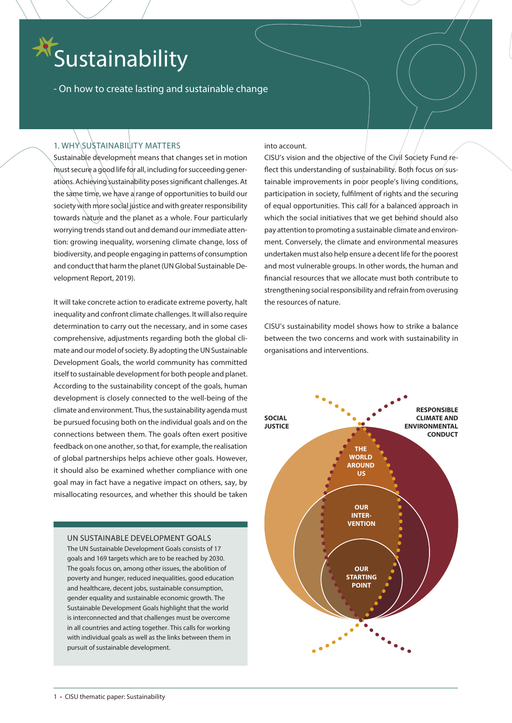# Sustainability

- On how to create lasting and sustainable change

## 1. WHY SUSTAINABILITY MATTERS

Sustainable development means that changes set in motion must secure a good life for all, including for succeeding generations. Achieving sustainability poses significant challenges. At the same time, we have a range of opportunities to build our society with more social justice and with greater responsibility towards nature and the planet as a whole. Four particularly worrying trends stand out and demand our immediate attention: growing inequality, worsening climate change, loss of biodiversity, and people engaging in patterns of consumption and conduct that harm the planet (UN Global Sustainable Development Report, 2019).

It will take concrete action to eradicate extreme poverty, halt inequality and confront climate challenges. It will also require determination to carry out the necessary, and in some cases comprehensive, adjustments regarding both the global climate and our model of society. By adopting the UN Sustainable Development Goals, the world community has committed itself to sustainable development for both people and planet. According to the sustainability concept of the goals, human development is closely connected to the well-being of the climate and environment. Thus, the sustainability agenda must be pursued focusing both on the individual goals and on the connections between them. The goals often exert positive feedback on one another, so that, for example, the realisation of global partnerships helps achieve other goals. However, it should also be examined whether compliance with one goal may in fact have a negative impact on others, say, by misallocating resources, and whether this should be taken

## UN SUSTAINABLE DEVELOPMENT GOALS

The UN Sustainable Development Goals consists of 17 goals and 169 targets which are to be reached by 2030. The goals focus on, among other issues, the abolition of poverty and hunger, reduced inequalities, good education and healthcare, decent jobs, sustainable consumption, gender equality and sustainable economic growth. The Sustainable Development Goals highlight that the world is interconnected and that challenges must be overcome in all countries and acting together. This calls for working with individual goals as well as the links between them in pursuit of sustainable development.

## into account.

CISU's vision and the objective of the Civil Society Fund reflect this understanding of sustainability. Both focus on sustainable improvements in poor people's living conditions, participation in society, fulfilment of rights and the securing of equal opportunities. This call for a balanced approach in which the social initiatives that we get behind should also pay attention to promoting a sustainable climate and environment. Conversely, the climate and environmental measures undertaken must also help ensure a decent life for the poorest and most vulnerable groups. In other words, the human and financial resources that we allocate must both contribute to strengthening social responsibility and refrain from overusing the resources of nature.

CISU's sustainability model shows how to strike a balance between the two concerns and work with sustainability in organisations and interventions.

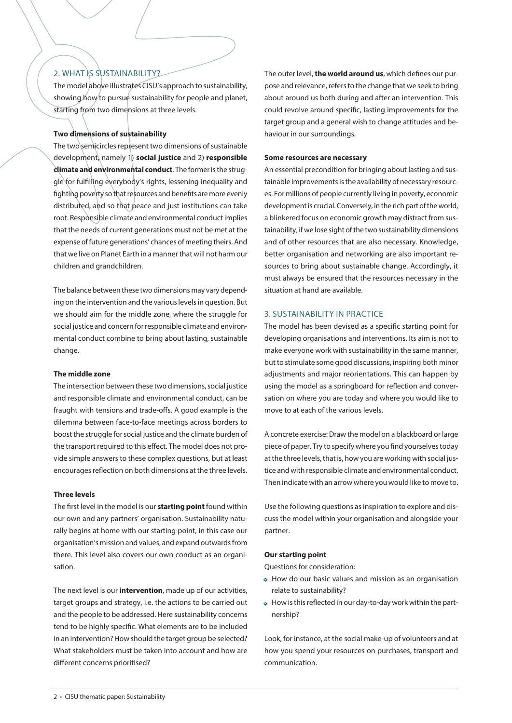## 2. WHAT IS SUSTAINABILITY?

The model above illustrates CISU's approach to sustainability, showing how to pursue sustainability for people and planet, starting from two dimensions at three levels.

## **Two dimensions of sustainability**

The two semicircles represent two dimensions of sustainable development, namely 1) **social justice** and 2) **responsible climate and environmental conduct**. The former is the struggle for fulfilling everybody's rights, lessening inequality and fighting poverty so that resources and benefits are more evenly distributed, and so that peace and just institutions can take root. Responsible climate and environmental conduct implies that the needs of current generations must not be met at the expense of future generations' chances of meeting theirs. And that we live on Planet Earth in a manner that will not harm our children and grandchildren.

The balance between these two dimensions may vary depending on the intervention and the various levels in question. But we should aim for the middle zone, where the struggle for social justice and concern for responsible climate and environmental conduct combine to bring about lasting, sustainable change.

## **The middle zone**

The intersection between these two dimensions, social justice and responsible climate and environmental conduct, can be fraught with tensions and trade-offs. A good example is the dilemma between face-to-face meetings across borders to boost the struggle for social justice and the climate burden of the transport required to this effect. The model does not provide simple answers to these complex questions, but at least encourages reflection on both dimensions at the three levels.

## **Three levels**

The first level in the model is our **starting point** found within our own and any partners' organisation. Sustainability naturally begins at home with our starting point, in this case our organisation's mission and values, and expand outwards from there. This level also covers our own conduct as an organisation.

The next level is our **intervention**, made up of our activities, target groups and strategy, i.e. the actions to be carried out and the people to be addressed. Here sustainability concerns tend to be highly specific. What elements are to be included in an intervention? How should the target group be selected? What stakeholders must be taken into account and how are different concerns prioritised?

The outer level, **the world around us**, which defines our purpose and relevance, refers to the change that we seek to bring about around us both during and after an intervention. This could revolve around specific, lasting improvements for the target group and a general wish to change attitudes and behaviour in our surroundings.

#### **Some resources are necessary**

An essential precondition for bringing about lasting and sustainable improvements is the availability of necessary resources. For millions of people currently living in poverty, economic development is crucial. Conversely, in the rich part of the world, a blinkered focus on economic growth may distract from sustainability, if we lose sight of the two sustainability dimensions and of other resources that are also necessary. Knowledge, better organisation and networking are also important resources to bring about sustainable change. Accordingly, it must always be ensured that the resources necessary in the situation at hand are available.

## 3. SUSTAINABILITY IN PRACTICE

The model has been devised as a specific starting point for developing organisations and interventions. Its aim is not to make everyone work with sustainability in the same manner, but to stimulate some good discussions, inspiring both minor adjustments and major reorientations. This can happen by using the model as a springboard for reflection and conversation on where you are today and where you would like to move to at each of the various levels.

A concrete exercise: Draw the model on a blackboard or large piece of paper. Try to specify where you find yourselves today at the three levels, that is, how you are working with social justice and with responsible climate and environmental conduct. Then indicate with an arrow where you would like to move to.

Use the following questions as inspiration to explore and discuss the model within your organisation and alongside your partner.

## **Our starting point**

Questions for consideration:

- **•** How do our basic values and mission as an organisation relate to sustainability?
- **•** How is this reflected in our day-to-day work within the partnership?

Look, for instance, at the social make-up of volunteers and at how you spend your resources on purchases, transport and communication.